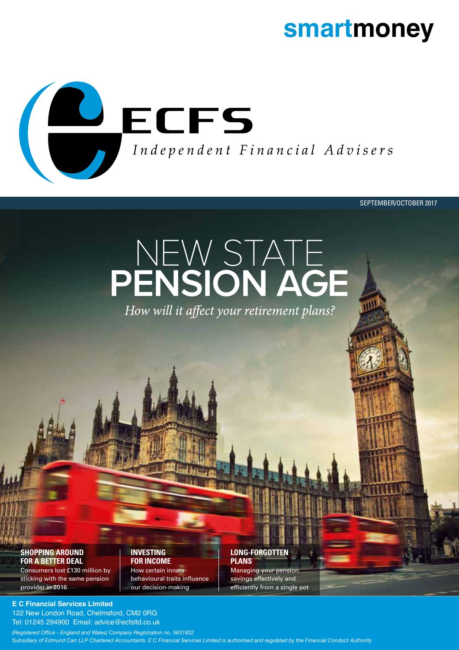# **smartmoney**



SEPTEMBER/OCTOBER 2017

# NEW STATE **PENSION AGE**

# **SHOPPING AROUND FOR A BETTER DEAL**

Consumers lost £130 million by sticking with the same pension provider in 2016

#### **INVESTING FOR INCOME**

How certain innate behavioural traits influence our decision-making

# **LONG-FORGOTTEN PLANS**

Managing your pension savings effectively and efficiently from a single pot

# **E C Financial Services Limited**

122 New London Road, Chelmsford, CM2 0RG Tel: 01245 294900 Email: advice@ecfsltd.co.uk

*(Registered Office - England and Wales) Company Registration no. 5631832 Subsidiary of Edmund Carr LLP Chartered Accountants. E C Financial Services Limited is authorised and regulated by the Financial Conduct Authority*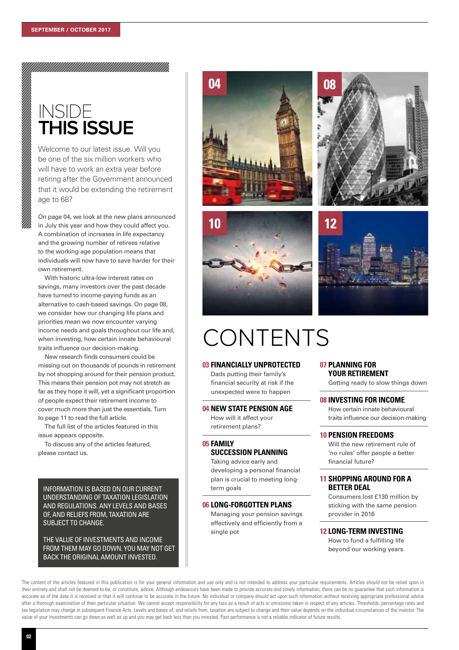# INSIDE **THIS ISSUE**

Welcome to our latest issue. Will you be one of the six million workers who will have to work an extra year before retiring after the Government announced that it would be extending the retirement age to 68?

On page 04, we look at the new plans announced in July this year and how they could affect you. A combination of increases in life expectancy and the growing number of retirees relative to the working-age population means that individuals will now have to save harder for their own retirement.

With historic ultra-low interest rates on savings, many investors over the past decade have turned to income-paying funds as an alternative to cash-based savings. On page 08, we consider how our changing life plans and priorities mean we now encounter varying income needs and goals throughout our life and, when investing, how certain innate behavioural traits influence our decision-making.

New research finds consumers could be missing out on thousands of pounds in retirement by not shopping around for their pension product. This means their pension pot may not stretch as far as they hope it will, yet a significant proportion of people expect their retirement income to cover much more than just the essentials. Turn to page 11 to read the full article.

The full list of the articles featured in this issue appears opposite.

To discuss any of the articles featured, please contact us.

INFORMATION IS BASED ON OUR CURRENT UNDERSTANDING OF TAXATION LEGISLATION AND REGULATIONS. ANY LEVELS AND BASES OF, AND RELIEFS FROM, TAXATION ARE SUBJECT TO CHANGE.

THE VALUE OF INVESTMENTS AND INCOME FROM THEM MAY GO DOWN. YOU MAY NOT GET BACK THE ORIGINAL AMOUNT INVESTED.

# **04**







# **12**

# CONTENTS

### **03 FINANCIALLY UNPROTECTED**

Dads putting their family's financial security at risk if the unexpected were to happen

### **04 NEW STATE PENSION AGE**

How will it affect your retirement plans?

# **05 FAMILY SUCCESSION PLANNING**

Taking advice early and developing a personal financial plan is crucial to meeting longterm goals

# **06 LONG-FORGOTTEN PLANS**

Managing your pension savings effectively and efficiently from a single pot

# **07 PLANNING FOR YOUR RETIREMENT**

Getting ready to slow things down

### **08 INVESTING FOR INCOME**

How certain innate behavioural traits influence our decision-making

# **10 PENSION FREEDOMS**

Will the new retirement rule of 'no rules' offer people a better financial future?

# **11 SHOPPING AROUND FOR A BETTER DEAL**

Consumers lost £130 million by sticking with the same pension provider in 2016

# **12 LONG-TERM INVESTING**

How to fund a fulfilling life beyond our working years

The content of the articles featured in this publication is for your general information and use only and is not intended to address your particular requirements. Articles should not be relied upon in their entirety and shall not be deemed to be, or constitute, advice. Although endeavours have been made to provide accurate and timely information, there can be no guarantee that such information is accurate as of the date it is received or that it will continue to be accurate in the future. No individual or company should act upon such information without receiving appropriate professional advice after a thorough examination of their particular situation. We cannot accept responsibility for any loss as a result of acts or omissions taken in respect of any articles. Thresholds, percentage rates and tax legislation may change in subsequent Finance Acts. Levels and bases of, and reliefs from, taxation are subject to change and their value depends on the individual circumstances of the investor. The value of your investments can go down as well as up and you may get back less than you invested. Past performance is not a reliable indicator of future results.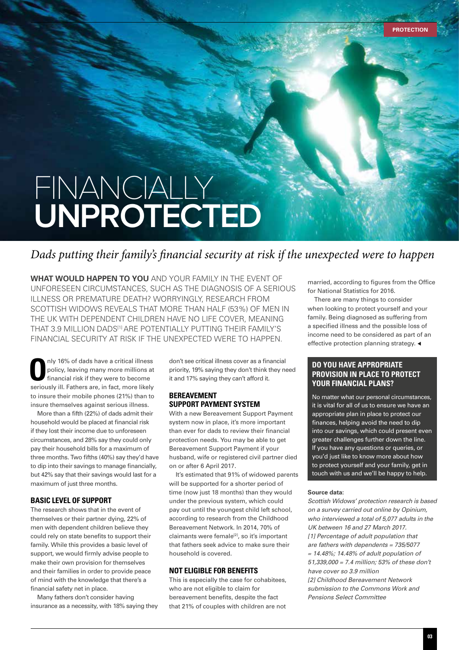# FINANCIALLY **UNPROTECTED**

# *Dads putting their family's financial security at risk if the unexpected were to happen*

**WHAT WOULD HAPPEN TO YOU** AND YOUR FAMILY IN THE EVENT OF UNFORESEEN CIRCUMSTANCES, SUCH AS THE DIAGNOSIS OF A SERIOUS ILLNESS OR PREMATURE DEATH? WORRYINGLY, RESEARCH FROM SCOTTISH WIDOWS REVEALS THAT MORE THAN HALF (53%) OF MEN IN THE UK WITH DEPENDENT CHILDREN HAVE NO LIFE COVER, MEANING THAT 3.9 MILLION DADS<sup>[1]</sup> ARE POTENTIALLY PUTTING THEIR FAMILY'S FINANCIAL SECURITY AT RISK IF THE UNEXPECTED WERE TO HAPPEN.

nly 16% of dads have a critical illness<br>policy, leaving many more millions at<br>financial risk if they were to become policy, leaving many more millions at financial risk if they were to become seriously ill. Fathers are, in fact, more likely to insure their mobile phones (21%) than to insure themselves against serious illness.

More than a fifth (22%) of dads admit their household would be placed at financial risk if they lost their income due to unforeseen circumstances, and 28% say they could only pay their household bills for a maximum of three months. Two fifths (40%) say they'd have to dip into their savings to manage financially, but 42% say that their savings would last for a maximum of just three months.

# **BASIC LEVEL OF SUPPORT**

The research shows that in the event of themselves or their partner dying, 22% of men with dependent children believe they could rely on state benefits to support their family. While this provides a basic level of support, we would firmly advise people to make their own provision for themselves and their families in order to provide peace of mind with the knowledge that there's a financial safety net in place.

Many fathers don't consider having insurance as a necessity, with 18% saying they don't see critical illness cover as a financial priority, 19% saying they don't think they need it and 17% saying they can't afford it.

# **BEREAVEMENT SUPPORT PAYMENT SYSTEM**

With a new Bereavement Support Payment system now in place, it's more important than ever for dads to review their financial protection needs. You may be able to get Bereavement Support Payment if your husband, wife or registered civil partner died on or after 6 April 2017.

It's estimated that 91% of widowed parents will be supported for a shorter period of time (now just 18 months) than they would under the previous system, which could pay out until the youngest child left school, according to research from the Childhood Bereavement Network. In 2014, 70% of claimants were female<sup>[2]</sup>, so it's important that fathers seek advice to make sure their household is covered.

# **NOT ELIGIBLE FOR BENEFITS**

This is especially the case for cohabitees, who are not eligible to claim for bereavement benefits, despite the fact that 21% of couples with children are not married, according to figures from the Office for National Statistics for 2016.

There are many things to consider when looking to protect yourself and your family. Being diagnosed as suffering from a specified illness and the possible loss of income need to be considered as part of an effective protection planning strategy.  $\triangleleft$ 

# **DO YOU HAVE APPROPRIATE PROVISION IN PLACE TO PROTECT YOUR FINANCIAL PLANS?**

No matter what our personal circumstances, it is vital for all of us to ensure we have an appropriate plan in place to protect our finances, helping avoid the need to dip into our savings, which could present even greater challenges further down the line. If you have any questions or queries, or you'd just like to know more about how to protect yourself and your family, get in touch with us and we'll be happy to help.

### **Source data:**

*Scottish Widows' protection research is based on a survey carried out online by Opinium, who interviewed a total of 5,077 adults in the UK between 16 and 27 March 2017. [1] Percentage of adult population that are fathers with dependents = 735/5077 = 14.48%; 14.48% of adult population of 51,339,000 = 7.4 million; 53% of these don't have cover so 3.9 million [2] Childhood Bereavement Network submission to the Commons Work and Pensions Select Committee*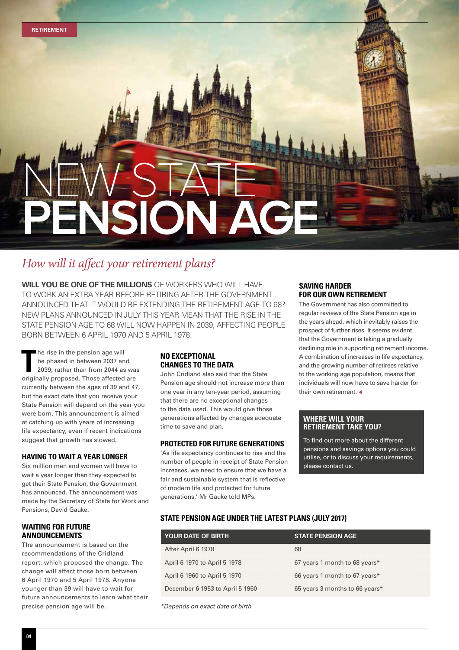

# *How will it affect your retirement plans?*

**WILL YOU BE ONE OF THE MILLIONS** OF WORKERS WHO WILL HAVE TO WORK AN EXTRA YEAR BEFORE RETIRING AFTER THE GOVERNMENT ANNOUNCED THAT IT WOULD BE EXTENDING THE RETIREMENT AGE TO 68? NEW PLANS ANNOUNCED IN JULY THIS YEAR MEAN THAT THE RISE IN THE STATE PENSION AGE TO 68 WILL NOW HAPPEN IN 2039, AFFECTING PEOPLE BORN BETWEEN 6 APRIL 1970 AND 5 APRIL 1978.

**T** he rise in the pension age will be phased in between 2037 and 2039, rather than from 2044 as was originally proposed. Those affected are currently between the ages of 39 and 47, but the exact date that you receive your State Pension will depend on the year you were born. This announcement is aimed at catching up with years of increasing life expectancy, even if recent indications suggest that growth has slowed.

# **HAVING TO WAIT A YEAR LONGER**

Six million men and women will have to wait a year longer than they expected to get their State Pension, the Government has announced. The announcement was made by the Secretary of State for Work and Pensions, David Gauke.

# **WAITING FOR FUTURE ANNOUNCEMENTS**

The announcement is based on the recommendations of the Cridland report, which proposed the change. The change will affect those born between 6 April 1970 and 5 April 1978. Anyone younger than 39 will have to wait for future announcements to learn what their precise pension age will be.

# **NO EXCEPTIONAL CHANGES TO THE DATA**

John Cridland also said that the State Pension age should not increase more than one year in any ten-year period, assuming that there are no exceptional changes to the data used. This would give those generations affected by changes adequate time to save and plan.

# **PROTECTED FOR FUTURE GENERATIONS**

'As life expectancy continues to rise and the number of people in receipt of State Pension increases, we need to ensure that we have a fair and sustainable system that is reflective of modern life and protected for future generations,' Mr Gauke told MPs.

### **SAVING HARDER FOR OUR OWN RETIREMENT**

The Government has also committed to regular reviews of the State Pension age in the years ahead, which inevitably raises the prospect of further rises. It seems evident that the Government is taking a gradually declining role in supporting retirement income. A combination of increases in life expectancy, and the growing number of retirees relative to the working age population, means that individuals will now have to save harder for their own retirement.  $\triangleleft$ 

# **WHERE WILL YOUR RETIREMENT TAKE YOU?**

To find out more about the different pensions and savings options you could utilise, or to discuss your requirements, please contact us.

# **STATE PENSION AGE UNDER THE LATEST PLANS (JULY 2017)**

| <b>YOUR DATE OF BIRTH</b>       | <b>STATE PENSION AGE</b>       |
|---------------------------------|--------------------------------|
| After April 6 1978              | 68                             |
| April 6 1970 to April 5 1978    | 67 years 1 month to 68 years*  |
| April 6 1960 to April 5 1970    | 66 years 1 month to 67 years*  |
| December 6 1953 to April 5 1960 | 65 years 3 months to 66 years* |
|                                 |                                |

*\*Depends on exact date of birth*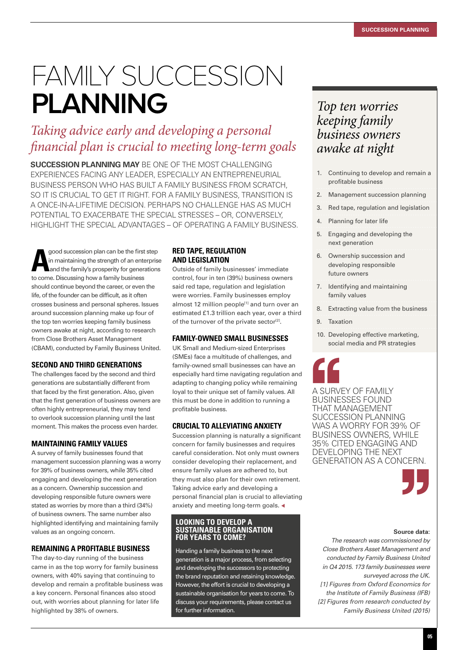# FAMILY SUCCESSION **PLANNING**

# *Taking advice early and developing a personal financial plan is crucial to meeting long-term goals*

**SUCCESSION PLANNING MAY** BE ONE OF THE MOST CHALLENGING EXPERIENCES FACING ANY LEADER, ESPECIALLY AN ENTREPRENEURIAL BUSINESS PERSON WHO HAS BUILT A FAMILY BUSINESS FROM SCRATCH, SO IT IS CRUCIAL TO GET IT RIGHT. FOR A FAMILY BUSINESS, TRANSITION IS A ONCE-IN-A-LIFETIME DECISION. PERHAPS NO CHALLENGE HAS AS MUCH POTENTIAL TO EXACERBATE THE SPECIAL STRESSES – OR, CONVERSELY, HIGHLIGHT THE SPECIAL ADVANTAGES – OF OPERATING A FAMILY BUSINESS.

**A** good succession plan can be the first<br>in maintaining the strength of an ente<br>and the family's prosperity for genera<br>to come. Discussing how a family business good succession plan can be the first step in maintaining the strength of an enterprise and the family's prosperity for generations should continue beyond the career, or even the life, of the founder can be difficult, as it often crosses business and personal spheres. Issues around succession planning make up four of the top ten worries keeping family business owners awake at night, according to research from Close Brothers Asset Management (CBAM), conducted by Family Business United.

# **SECOND AND THIRD GENERATIONS**

The challenges faced by the second and third generations are substantially different from that faced by the first generation. Also, given that the first generation of business owners are often highly entrepreneurial, they may tend to overlook succession planning until the last moment. This makes the process even harder.

# **MAINTAINING FAMILY VALUES**

A survey of family businesses found that management succession planning was a worry for 39% of business owners, while 35% cited engaging and developing the next generation as a concern. Ownership succession and developing responsible future owners were stated as worries by more than a third (34%) of business owners. The same number also highlighted identifying and maintaining family values as an ongoing concern.

# **REMAINING A PROFITABLE BUSINESS**

The day-to-day running of the business came in as the top worry for family business owners, with 40% saying that continuing to develop and remain a profitable business was a key concern. Personal finances also stood out, with worries about planning for later life highlighted by 38% of owners.

# **RED TAPE, REGULATION AND LEGISLATION**

Outside of family businesses' immediate control, four in ten (39%) business owners said red tape, regulation and legislation were worries. Family businesses employ almost 12 million people<sup>[1]</sup> and turn over an estimated £1.3 trillion each year, over a third of the turnover of the private sector<sup>[2]</sup>.

# **FAMILY-OWNED SMALL BUSINESSES**

UK Small and Medium-sized Enterprises (SMEs) face a multitude of challenges, and family-owned small businesses can have an especially hard time navigating regulation and adapting to changing policy while remaining loyal to their unique set of family values. All this must be done in addition to running a profitable business.

# **CRUCIAL TO ALLEVIATING ANXIETY**

Succession planning is naturally a significant concern for family businesses and requires careful consideration. Not only must owners consider developing their replacement, and ensure family values are adhered to, but they must also plan for their own retirement. Taking advice early and developing a personal financial plan is crucial to alleviating anxiety and meeting long-term goals.  $\triangleleft$ 

# **LOOKING TO DEVELOP A SUSTAINABLE ORGANISATION FOR YEARS TO COME?**

Handing a family business to the next generation is a major process, from selecting and developing the successors to protecting the brand reputation and retaining knowledge. However, the effort is crucial to developing a sustainable organisation for years to come. To discuss your requirements, please contact us for further information.

# *Top ten worries keeping family business owners awake at night*

- 1. Continuing to develop and remain a profitable business
- 2. Management succession planning
- 3. Red tape, regulation and legislation
- 4. Planning for later life
- 5. Engaging and developing the next generation
- 6. Ownership succession and developing responsible future owners
- 7. Identifying and maintaining family values
- 8. Extracting value from the business
- 9. Taxation
- 10. Developing effective marketing, social media and PR strategies

A SURVEY OF FAMILY BUSINESSES FOUND THAT MANAGEMENT SUCCESSION PLANNING WAS A WORRY FOR 39% OF BUSINESS OWNERS, WHILE 35% CITED ENGAGING AND DEVELOPING THE NEXT GENERATION AS A CONCERN.



#### **Source data:**

*The research was commissioned by Close Brothers Asset Management and conducted by Family Business United in Q4 2015. 173 family businesses were surveyed across the UK. [1] Figures from Oxford Economics for the Institute of Family Business (IFB) [2] Figures from research conducted by Family Business United (2015)*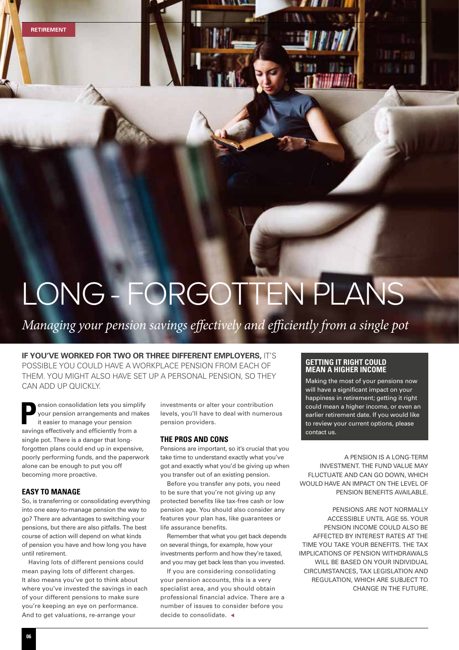**RETIREMENT**

# LONG - FORGOTTEN PLANS

*Managing your pension savings effectively and efficiently from a single pot* 

# **IF YOU'VE WORKED FOR TWO OR THREE DIFFERENT EMPLOYERS, IT'S** POSSIBLE YOU COULD HAVE A WORKPLACE PENSION FROM EACH OF THEM. YOU MIGHT ALSO HAVE SET UP A PERSONAL PENSION, SO THEY CAN ADD UP QUICKLY.

**P**ension consolidation lets you simplify your pension arrangements and makes it easier to manage your pension savings effectively and efficiently from a single pot. There is a danger that longforgotten plans could end up in expensive, poorly performing funds, and the paperwork alone can be enough to put you off becoming more proactive.

# **EASY TO MANAGE**

So, is transferring or consolidating everything into one easy-to-manage pension the way to go? There are advantages to switching your pensions, but there are also pitfalls. The best course of action will depend on what kinds of pension you have and how long you have until retirement.

Having lots of different pensions could mean paying lots of different charges. It also means you've got to think about where you've invested the savings in each of your different pensions to make sure you're keeping an eye on performance. And to get valuations, re-arrange your

investments or alter your contribution levels, you'll have to deal with numerous pension providers.

### **THE PROS AND CONS**

Pensions are important, so it's crucial that you take time to understand exactly what you've got and exactly what you'd be giving up when you transfer out of an existing pension.

Before you transfer any pots, you need to be sure that you're not giving up any protected benefits like tax-free cash or low pension age. You should also consider any features your plan has, like guarantees or life assurance benefits.

Remember that what you get back depends on several things, for example, how your investments perform and how they're taxed, and you may get back less than you invested.

If you are considering consolidating your pension accounts, this is a very specialist area, and you should obtain professional financial advice. There are a number of issues to consider before you decide to consolidate.  $\triangleleft$ 

# **GETTING IT RIGHT COULD MEAN A HIGHER INCOME**

Making the most of your pensions now will have a significant impact on your happiness in retirement; getting it right could mean a higher income, or even an earlier retirement date. If you would like to review your current options, please contact us.

A PENSION IS A LONG-TERM INVESTMENT. THE FUND VALUE MAY FLUCTUATE AND CAN GO DOWN, WHICH WOULD HAVE AN IMPACT ON THE LEVEL OF PENSION BENEFITS AVAILABLE.

PENSIONS ARE NOT NORMALLY ACCESSIBLE UNTIL AGE 55. YOUR PENSION INCOME COULD ALSO BE AFFECTED BY INTEREST RATES AT THE TIME YOU TAKE YOUR BENEFITS. THE TAX IMPLICATIONS OF PENSION WITHDRAWALS WILL BE BASED ON YOUR INDIVIDUAL CIRCUMSTANCES, TAX LEGISLATION AND REGULATION, WHICH ARE SUBJECT TO CHANGE IN THE FUTURE.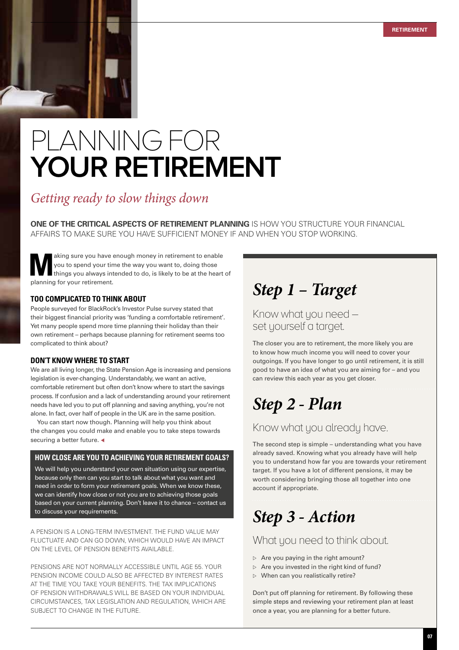

# PLANNING FOR **YOUR RETIREMENT**

# *Getting ready to slow things down*

**ONE OF THE CRITICAL ASPECTS OF RETIREMENT PLANNING** IS HOW YOU STRUCTURE YOUR FINANCIAL AFFAIRS TO MAKE SURE YOU HAVE SUFFICIENT MONEY IF AND WHEN YOU STOP WORKING.

aking sure you have enough money in retirement to enable<br>you to spend your time the way you want to, doing those<br>things you always intended to do, is likely to be at the heart of you to spend your time the way you want to, doing those planning for your retirement.

# **TOO COMPLICATED TO THINK ABOUT**

People surveyed for BlackRock's Investor Pulse survey stated that their biggest financial priority was 'funding a comfortable retirement'. Yet many people spend more time planning their holiday than their own retirement – perhaps because planning for retirement seems too complicated to think about?

# **DON'T KNOW WHERE TO START**

We are all living longer, the State Pension Age is increasing and pensions legislation is ever-changing. Understandably, we want an active, comfortable retirement but often don't know where to start the savings process. If confusion and a lack of understanding around your retirement needs have led you to put off planning and saving anything, you're not alone. In fact, over half of people in the UK are in the same position.

You can start now though. Planning will help you think about the changes you could make and enable you to take steps towards securing a better future.  $\triangleleft$ 

# **HOW CLOSE ARE YOU TO ACHIEVING YOUR RETIREMENT GOALS?**

We will help you understand your own situation using our expertise, because only then can you start to talk about what you want and need in order to form your retirement goals. When we know these, we can identify how close or not you are to achieving those goals based on your current planning. Don't leave it to chance – contact us to discuss your requirements.

A PENSION IS A LONG-TERM INVESTMENT. THE FUND VALUE MAY FLUCTUATE AND CAN GO DOWN, WHICH WOULD HAVE AN IMPACT ON THE LEVEL OF PENSION BENEFITS AVAILABLE.

PENSIONS ARE NOT NORMALLY ACCESSIBLE UNTIL AGE 55. YOUR PENSION INCOME COULD ALSO BE AFFECTED BY INTEREST RATES AT THE TIME YOU TAKE YOUR BENEFITS. THE TAX IMPLICATIONS OF PENSION WITHDRAWALS WILL BE BASED ON YOUR INDIVIDUAL CIRCUMSTANCES, TAX LEGISLATION AND REGULATION, WHICH ARE SUBJECT TO CHANGE IN THE FUTURE.

# *Step 1 – Target*

Know what you need – set yourself a target.

The closer you are to retirement, the more likely you are to know how much income you will need to cover your outgoings. If you have longer to go until retirement, it is still good to have an idea of what you are aiming for – and you can review this each year as you get closer.

# *Step 2 - Plan*

# Know what you already have.

The second step is simple – understanding what you have already saved. Knowing what you already have will help you to understand how far you are towards your retirement target. If you have a lot of different pensions, it may be worth considering bringing those all together into one account if appropriate.

# *Step 3 - Action*

# What you need to think about.

- $\triangleright$  Are you paying in the right amount?
- $\triangleright$  Are you invested in the right kind of fund?
- $\triangleright$  When can you realistically retire?

Don't put off planning for retirement. By following these simple steps and reviewing your retirement plan at least once a year, you are planning for a better future.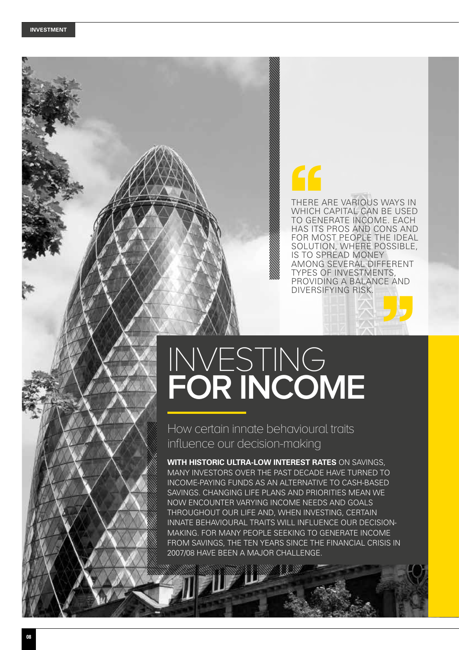# THERE ARE VARIOUS WAYS IN WHICH CAPITAL CAN BE USED TO GENERATE INCOME. EACH HAS ITS PROS AND CONS AND FOR MOST PEOPLE THE IDEAL SOLUTION, WHERE POSSIBLE, IS TO SPREAD MONEY AMONG SEVERAL DIFFERENT TYPES OF INVESTMENTS, PROVIDING A BALANCE AND DIVERSIFYING RISK.

# INVESTING **FOR INCOME**

How certain innate behavioural traits influence our decision-making

**WITH HISTORIC ULTRA-LOW INTEREST RATES** ON SAVINGS, MANY INVESTORS OVER THE PAST DECADE HAVE TURNED TO INCOME-PAYING FUNDS AS AN ALTERNATIVE TO CASH-BASED SAVINGS. CHANGING LIFE PLANS AND PRIORITIES MEAN WE NOW ENCOUNTER VARYING INCOME NEEDS AND GOALS THROUGHOUT OUR LIFE AND, WHEN INVESTING, CERTAIN INNATE BEHAVIOURAL TRAITS WILL INFLUENCE OUR DECISION-MAKING. FOR MANY PEOPLE SEEKING TO GENERATE INCOME FROM SAVINGS, THE TEN YEARS SINCE THE FINANCIAL CRISIS IN 2007/08 HAVE BEEN A MAJOR CHALLENGE.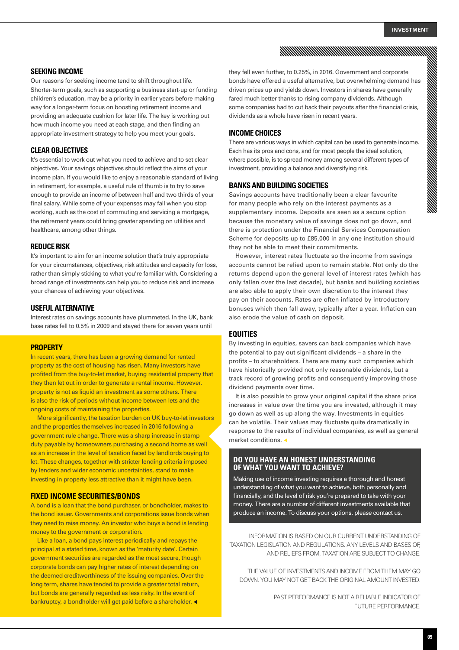### **SEEKING INCOME**

Our reasons for seeking income tend to shift throughout life. Shorter-term goals, such as supporting a business start-up or funding children's education, may be a priority in earlier years before making way for a longer-term focus on boosting retirement income and providing an adequate cushion for later life. The key is working out how much income you need at each stage, and then finding an appropriate investment strategy to help you meet your goals.

# **CLEAR OBJECTIVES**

It's essential to work out what you need to achieve and to set clear objectives. Your savings objectives should reflect the aims of your income plan. If you would like to enjoy a reasonable standard of living in retirement, for example, a useful rule of thumb is to try to save enough to provide an income of between half and two thirds of your final salary. While some of your expenses may fall when you stop working, such as the cost of commuting and servicing a mortgage, the retirement years could bring greater spending on utilities and healthcare, among other things.

#### **REDUCE RISK**

It's important to aim for an income solution that's truly appropriate for your circumstances, objectives, risk attitudes and capacity for loss, rather than simply sticking to what you're familiar with. Considering a broad range of investments can help you to reduce risk and increase your chances of achieving your objectives.

### **USEFUL ALTERNATIVE**

Interest rates on savings accounts have plummeted. In the UK, bank base rates fell to 0.5% in 2009 and stayed there for seven years until

#### **PROPERTY**

In recent years, there has been a growing demand for rented property as the cost of housing has risen. Many investors have profited from the buy-to-let market, buying residential property that they then let out in order to generate a rental income. However, property is not as liquid an investment as some others. There is also the risk of periods without income between lets and the ongoing costs of maintaining the properties.

More significantly, the taxation burden on UK buy-to-let investors and the properties themselves increased in 2016 following a government rule change. There was a sharp increase in stamp duty payable by homeowners purchasing a second home as well as an increase in the level of taxation faced by landlords buying to let. These changes, together with stricter lending criteria imposed by lenders and wider economic uncertainties, stand to make investing in property less attractive than it might have been.

### **FIXED INCOME SECURITIES/BONDS**

A bond is a loan that the bond purchaser, or bondholder, makes to the bond issuer. Governments and corporations issue bonds when they need to raise money. An investor who buys a bond is lending money to the government or corporation.

Like a loan, a bond pays interest periodically and repays the principal at a stated time, known as the 'maturity date'. Certain government securities are regarded as the most secure, though corporate bonds can pay higher rates of interest depending on the deemed creditworthiness of the issuing companies. Over the long term, shares have tended to provide a greater total return, but bonds are generally regarded as less risky. In the event of bankruptcy, a bondholder will get paid before a shareholder. <

they fell even further, to 0.25%, in 2016. Government and corporate bonds have offered a useful alternative, but overwhelming demand has driven prices up and yields down. Investors in shares have generally fared much better thanks to rising company dividends. Although some companies had to cut back their payouts after the financial crisis, dividends as a whole have risen in recent years.

#### **INCOME CHOICES**

There are various ways in which capital can be used to generate income. Each has its pros and cons, and for most people the ideal solution, where possible, is to spread money among several different types of investment, providing a balance and diversifying risk.

#### **BANKS AND BUILDING SOCIETIES**

Savings accounts have traditionally been a clear favourite for many people who rely on the interest payments as a supplementary income. Deposits are seen as a secure option because the monetary value of savings does not go down, and there is protection under the Financial Services Compensation Scheme for deposits up to £85,000 in any one institution should they not be able to meet their commitments.

However, interest rates fluctuate so the income from savings accounts cannot be relied upon to remain stable. Not only do the returns depend upon the general level of interest rates (which has only fallen over the last decade), but banks and building societies are also able to apply their own discretion to the interest they pay on their accounts. Rates are often inflated by introductory bonuses which then fall away, typically after a year. Inflation can also erode the value of cash on deposit.

#### **EQUITIES**

By investing in equities, savers can back companies which have the potential to pay out significant dividends – a share in the profits – to shareholders. There are many such companies which have historically provided not only reasonable dividends, but a track record of growing profits and consequently improving those dividend payments over time.

It is also possible to grow your original capital if the share price increases in value over the time you are invested, although it may go down as well as up along the way. Investments in equities can be volatile. Their values may fluctuate quite dramatically in response to the results of individual companies, as well as general market conditions.  $\triangleleft$ 

# **DO YOU HAVE AN HONEST UNDERSTANDING OF WHAT YOU WANT TO ACHIEVE?**

Making use of income investing requires a thorough and honest understanding of what you want to achieve, both personally and financially, and the level of risk you're prepared to take with your money. There are a number of different investments available that produce an income. To discuss your options, please contact us.

INFORMATION IS BASED ON OUR CURRENT UNDERSTANDING OF TAXATION LEGISLATION AND REGULATIONS. ANY LEVELS AND BASES OF, AND RELIEFS FROM, TAXATION ARE SUBJECT TO CHANGE.

THE VALUE OF INVESTMENTS AND INCOME FROM THEM MAY GO DOWN. YOU MAY NOT GET BACK THE ORIGINAL AMOUNT INVESTED.

> PAST PERFORMANCE IS NOT A RELIABLE INDICATOR OF FUTURE PERFORMANCE.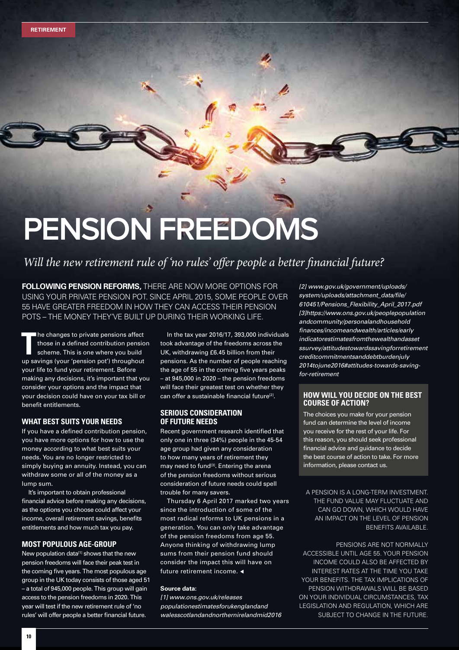# **PENSION FREEDOMS**

# *Will the new retirement rule of 'no rules' offer people a better financial future?*

**FOLLOWING PENSION REFORMS,** THERE ARE NOW MORE OPTIONS FOR USING YOUR PRIVATE PENSION POT. SINCE APRIL 2015, SOME PEOPLE OVER 55 HAVE GREATER FREEDOM IN HOW THEY CAN ACCESS THEIR PENSION POTS – THE MONEY THEY'VE BUILT UP DURING THEIR WORKING LIFE.

**T** he changes to private pensions affect those in a defined contribution pension scheme. This is one where you build up savings (your 'pension pot') throughout your life to fund your retirement. Before making any decisions, it's important that you consider your options and the impact that your decision could have on your tax bill or benefit entitlements.

### **WHAT BEST SUITS YOUR NEEDS**

If you have a defined contribution pension, you have more options for how to use the money according to what best suits your needs. You are no longer restricted to simply buying an annuity. Instead, you can withdraw some or all of the money as a lump sum.

It's important to obtain professional financial advice before making any decisions, as the options you choose could affect your income, overall retirement savings, benefits entitlements and how much tax you pay.

# **MOST POPULOUS AGE-GROUP**

New population data $^{[1]}$  shows that the new pension freedoms will face their peak test in the coming five years. The most populous age group in the UK today consists of those aged 51 – a total of 945,000 people. This group will gain access to the pension freedoms in 2020. This year will test if the new retirement rule of 'no rules' will offer people a better financial future.

In the tax year 2016/17, 393,000 individuals took advantage of the freedoms across the UK, withdrawing £6.45 billion from their pensions. As the number of people reaching the age of 55 in the coming five years peaks – at 945,000 in 2020 – the pension freedoms will face their greatest test on whether they can offer a sustainable financial future<sup>[2]</sup>.

# **SERIOUS CONSIDERATION OF FUTURE NEEDS**

Recent government research identified that only one in three (34%) people in the 45-54 age group had given any consideration to how many years of retirement they may need to fund<sup>[3]</sup>. Entering the arena of the pension freedoms without serious consideration of future needs could spell trouble for many savers.

Thursday 6 April 2017 marked two years since the introduction of some of the most radical reforms to UK pensions in a generation. You can only take advantage of the pension freedoms from age 55. Anyone thinking of withdrawing lump sums from their pension fund should consider the impact this will have on future retirement income.  $\triangleleft$ 

#### **Source data:**

*[1] www.ons.gov.uk/releases populationestimatesforukenglandand walesscotlandandnorthernirelandmid2016* *[2] www.gov.uk/government/uploads/ system/uploads/attachment\_data/file/ 610451/Pensions\_Flexibility\_April\_2017.pdf [3]https://www.ons.gov.uk/peoplepopulation andcommunity/personalandhousehold finances/incomeandwealth/articles/early indicatorestimatesfromthewealthandasset ssurvey/attitudestowardssavingforretirement creditcommitmentsanddebtburdenjuly 2014tojune2016#attitudes-towards-savingfor-retirement*

# **HOW WILL YOU DECIDE ON THE BEST COURSE OF ACTION?**

The choices you make for your pension fund can determine the level of income you receive for the rest of your life. For this reason, you should seek professional financial advice and guidance to decide the best course of action to take. For more information, please contact us.

A PENSION IS A LONG-TERM INVESTMENT. THE FUND VALUE MAY FLUCTUATE AND CAN GO DOWN, WHICH WOULD HAVE AN IMPACT ON THE LEVEL OF PENSION BENEFITS AVAILABLE.

PENSIONS ARE NOT NORMALLY ACCESSIBLE UNTIL AGE 55. YOUR PENSION INCOME COULD ALSO BE AFFECTED BY INTEREST RATES AT THE TIME YOU TAKE YOUR BENEFITS. THE TAX IMPLICATIONS OF PENSION WITHDRAWALS WILL BE BASED ON YOUR INDIVIDUAL CIRCUMSTANCES, TAX LEGISLATION AND REGULATION, WHICH ARE SUBJECT TO CHANGE IN THE FUTURE.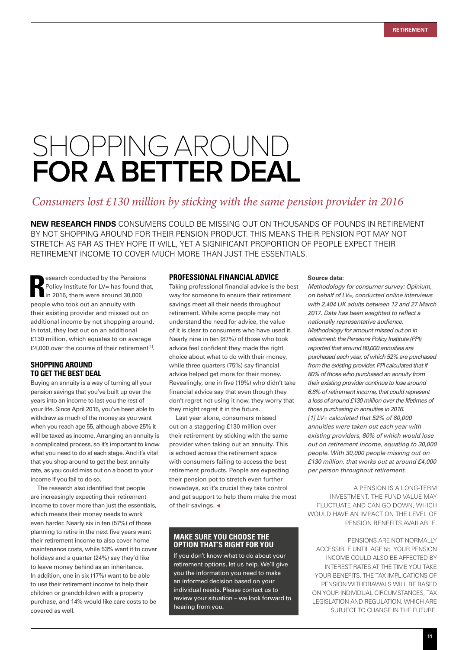# SHOPPING AROUND **FOR A BETTER DEAL**

# *Consumers lost £130 million by sticking with the same pension provider in 2016*

**NEW RESEARCH FINDS** CONSUMERS COULD BE MISSING OUT ON THOUSANDS OF POUNDS IN RETIREMENT BY NOT SHOPPING AROUND FOR THEIR PENSION PRODUCT. THIS MEANS THEIR PENSION POT MAY NOT STRETCH AS FAR AS THEY HOPE IT WILL, YET A SIGNIFICANT PROPORTION OF PEOPLE EXPECT THEIR RETIREMENT INCOME TO COVER MUCH MORE THAN JUST THE ESSENTIALS.

**Research conducted by the Pensiation Policy Institute for LV= has found in 2016, there were around 30,000 people who took out an annuity with** esearch conducted by the Pensions Policy Institute for LV= has found that, in 2016, there were around 30,000 their existing provider and missed out on additional income by not shopping around. In total, they lost out on an additional £130 million, which equates to on average £4,000 over the course of their retirement<sup>[1]</sup>.

# **SHOPPING AROUND TO GET THE BEST DEAL**

Buying an annuity is a way of turning all your pension savings that you've built up over the years into an income to last you the rest of your life. Since April 2015, you've been able to withdraw as much of the money as you want when you reach age 55, although above 25% it will be taxed as income. Arranging an annuity is a complicated process, so it's important to know what you need to do at each stage. And it's vital that you shop around to get the best annuity rate, as you could miss out on a boost to your income if you fail to do so.

The research also identified that people are increasingly expecting their retirement income to cover more than just the essentials. which means their money needs to work even harder. Nearly six in ten (57%) of those planning to retire in the next five years want their retirement income to also cover home maintenance costs, while 53% want it to cover holidays and a quarter (24%) say they'd like to leave money behind as an inheritance. In addition, one in six (17%) want to be able to use their retirement income to help their children or grandchildren with a property purchase, and 14% would like care costs to be covered as well.

### **PROFESSIONAL FINANCIAL ADVICE**

Taking professional financial advice is the best way for someone to ensure their retirement savings meet all their needs throughout retirement. While some people may not understand the need for advice, the value of it is clear to consumers who have used it. Nearly nine in ten (87%) of those who took advice feel confident they made the right choice about what to do with their money, while three quarters (75%) say financial advice helped get more for their money. Revealingly, one in five (19%) who didn't take financial advice say that even though they don't regret not using it now, they worry that they might regret it in the future.

Last year alone, consumers missed out on a staggering £130 million over their retirement by sticking with the same provider when taking out an annuity. This is echoed across the retirement space with consumers failing to access the best retirement products. People are expecting their pension pot to stretch even further nowadays, so it's crucial they take control and get support to help them make the most of their savings.  $\triangleleft$ 

# **MAKE SURE YOU CHOOSE THE OPTION THAT'S RIGHT FOR YOU**

If you don't know what to do about your retirement options, let us help. We'll give you the information you need to make an informed decision based on your individual needs. Please contact us to review your situation – we look forward to hearing from you.

#### **Source data:**

*Methodology for consumer survey: Opinium, on behalf of LV=, conducted online interviews with 2,404 UK adults between 12 and 27 March 2017. Data has been weighted to reflect a nationally representative audience. Methodology for amount missed out on in retirement: the Pensions Policy Institute (PPI) reported that around 80,000 annuities are purchased each year, of which 52% are purchased from the existing provider. PPI calculated that if 80% of those who purchased an annuity from their existing provider continue to lose around 6.8% of retirement income, that could represent a loss of around £130 million over the lifetimes of those purchasing in annuities in 2016. [1] LV= calculated that 52% of 80,000 annuities were taken out each year with existing providers, 80% of which would lose out on retirement income, equating to 30,000 people. With 30,000 people missing out on £130 million, that works out at around £4,000 per person throughout retirement.*

A PENSION IS A LONG-TERM INVESTMENT. THE FUND VALUE MAY FLUCTUATE AND CAN GO DOWN, WHICH WOULD HAVE AN IMPACT ON THE LEVEL OF PENSION BENEFITS AVAILABLE.

PENSIONS ARE NOT NORMALLY ACCESSIBLE UNTIL AGE 55. YOUR PENSION INCOME COULD ALSO BE AFFECTED BY INTEREST RATES AT THE TIME YOU TAKE YOUR BENEFITS. THE TAX IMPLICATIONS OF PENSION WITHDRAWALS WILL BE BASED ON YOUR INDIVIDUAL CIRCUMSTANCES, TAX LEGISLATION AND REGULATION, WHICH ARE SUBJECT TO CHANGE IN THE FUTURE.